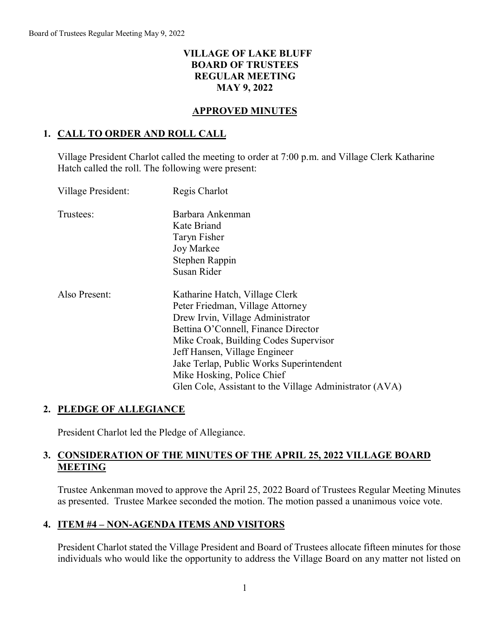## **VILLAGE OF LAKE BLUFF BOARD OF TRUSTEES REGULAR MEETING MAY 9, 2022**

### **APPROVED MINUTES**

## **1. CALL TO ORDER AND ROLL CALL**

Village President Charlot called the meeting to order at 7:00 p.m. and Village Clerk Katharine Hatch called the roll. The following were present:

| Village President: | Regis Charlot                                           |
|--------------------|---------------------------------------------------------|
| Trustees:          | Barbara Ankenman                                        |
|                    | Kate Briand                                             |
|                    | Taryn Fisher                                            |
|                    | Joy Markee                                              |
|                    | Stephen Rappin                                          |
|                    | Susan Rider                                             |
| Also Present:      | Katharine Hatch, Village Clerk                          |
|                    | Peter Friedman, Village Attorney                        |
|                    | Drew Irvin, Village Administrator                       |
|                    | Bettina O'Connell, Finance Director                     |
|                    | Mike Croak, Building Codes Supervisor                   |
|                    | Jeff Hansen, Village Engineer                           |
|                    | Jake Terlap, Public Works Superintendent                |
|                    | Mike Hosking, Police Chief                              |
|                    | Glen Cole, Assistant to the Village Administrator (AVA) |

## **2. PLEDGE OF ALLEGIANCE**

President Charlot led the Pledge of Allegiance.

## **3. CONSIDERATION OF THE MINUTES OF THE APRIL 25, 2022 VILLAGE BOARD MEETING**

Trustee Ankenman moved to approve the April 25, 2022 Board of Trustees Regular Meeting Minutes as presented. Trustee Markee seconded the motion. The motion passed a unanimous voice vote.

## **4. ITEM #4 – NON-AGENDA ITEMS AND VISITORS**

President Charlot stated the Village President and Board of Trustees allocate fifteen minutes for those individuals who would like the opportunity to address the Village Board on any matter not listed on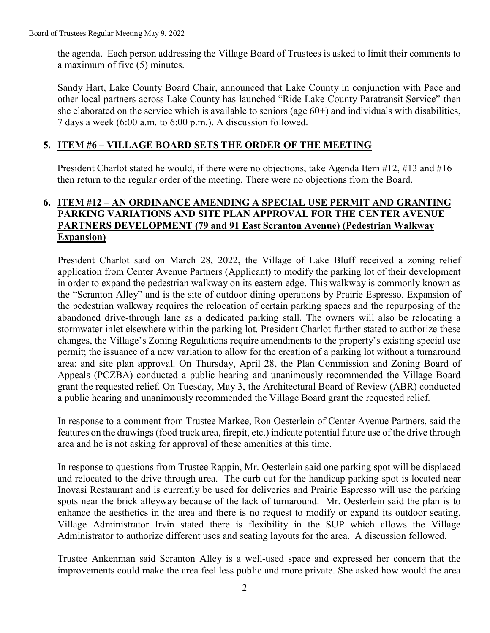the agenda. Each person addressing the Village Board of Trustees is asked to limit their comments to a maximum of five (5) minutes.

Sandy Hart, Lake County Board Chair, announced that Lake County in conjunction with Pace and other local partners across Lake County has launched "Ride Lake County Paratransit Service" then she elaborated on the service which is available to seniors (age 60+) and individuals with disabilities, 7 days a week (6:00 a.m. to 6:00 p.m.). A discussion followed.

### **5. ITEM #6 – VILLAGE BOARD SETS THE ORDER OF THE MEETING**

President Charlot stated he would, if there were no objections, take Agenda Item #12, #13 and #16 then return to the regular order of the meeting. There were no objections from the Board.

### **6. ITEM #12 – AN ORDINANCE AMENDING A SPECIAL USE PERMIT AND GRANTING PARKING VARIATIONS AND SITE PLAN APPROVAL FOR THE CENTER AVENUE PARTNERS DEVELOPMENT (79 and 91 East Scranton Avenue) (Pedestrian Walkway Expansion)**

President Charlot said on March 28, 2022, the Village of Lake Bluff received a zoning relief application from Center Avenue Partners (Applicant) to modify the parking lot of their development in order to expand the pedestrian walkway on its eastern edge. This walkway is commonly known as the "Scranton Alley" and is the site of outdoor dining operations by Prairie Espresso. Expansion of the pedestrian walkway requires the relocation of certain parking spaces and the repurposing of the abandoned drive-through lane as a dedicated parking stall. The owners will also be relocating a stormwater inlet elsewhere within the parking lot. President Charlot further stated to authorize these changes, the Village's Zoning Regulations require amendments to the property's existing special use permit; the issuance of a new variation to allow for the creation of a parking lot without a turnaround area; and site plan approval. On Thursday, April 28, the Plan Commission and Zoning Board of Appeals (PCZBA) conducted a public hearing and unanimously recommended the Village Board grant the requested relief. On Tuesday, May 3, the Architectural Board of Review (ABR) conducted a public hearing and unanimously recommended the Village Board grant the requested relief.

In response to a comment from Trustee Markee, Ron Oesterlein of Center Avenue Partners, said the features on the drawings(food truck area, firepit, etc.) indicate potential future use of the drive through area and he is not asking for approval of these amenities at this time.

In response to questions from Trustee Rappin, Mr. Oesterlein said one parking spot will be displaced and relocated to the drive through area. The curb cut for the handicap parking spot is located near Inovasi Restaurant and is currently be used for deliveries and Prairie Espresso will use the parking spots near the brick alleyway because of the lack of turnaround. Mr. Oesterlein said the plan is to enhance the aesthetics in the area and there is no request to modify or expand its outdoor seating. Village Administrator Irvin stated there is flexibility in the SUP which allows the Village Administrator to authorize different uses and seating layouts for the area. A discussion followed.

Trustee Ankenman said Scranton Alley is a well-used space and expressed her concern that the improvements could make the area feel less public and more private. She asked how would the area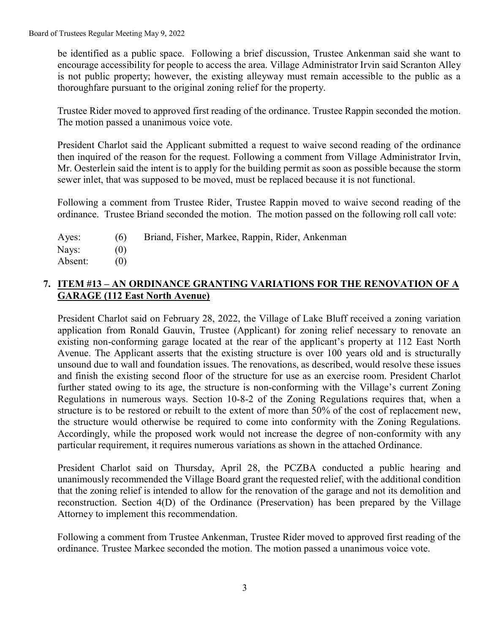be identified as a public space. Following a brief discussion, Trustee Ankenman said she want to encourage accessibility for people to access the area. Village Administrator Irvin said Scranton Alley is not public property; however, the existing alleyway must remain accessible to the public as a thoroughfare pursuant to the original zoning relief for the property.

Trustee Rider moved to approved first reading of the ordinance. Trustee Rappin seconded the motion. The motion passed a unanimous voice vote.

President Charlot said the Applicant submitted a request to waive second reading of the ordinance then inquired of the reason for the request. Following a comment from Village Administrator Irvin, Mr. Oesterlein said the intent is to apply for the building permit as soon as possible because the storm sewer inlet, that was supposed to be moved, must be replaced because it is not functional.

Following a comment from Trustee Rider, Trustee Rappin moved to waive second reading of the ordinance. Trustee Briand seconded the motion. The motion passed on the following roll call vote:

| Ayes:   | (6) | Briand, Fisher, Markee, Rappin, Rider, Ankenman |
|---------|-----|-------------------------------------------------|
| Nays:   |     |                                                 |
| Absent: |     |                                                 |

# **7. ITEM #13 – AN ORDINANCE GRANTING VARIATIONS FOR THE RENOVATION OF A GARAGE (112 East North Avenue)**

President Charlot said on February 28, 2022, the Village of Lake Bluff received a zoning variation application from Ronald Gauvin, Trustee (Applicant) for zoning relief necessary to renovate an existing non-conforming garage located at the rear of the applicant's property at 112 East North Avenue. The Applicant asserts that the existing structure is over 100 years old and is structurally unsound due to wall and foundation issues. The renovations, as described, would resolve these issues and finish the existing second floor of the structure for use as an exercise room. President Charlot further stated owing to its age, the structure is non-conforming with the Village's current Zoning Regulations in numerous ways. Section 10-8-2 of the Zoning Regulations requires that, when a structure is to be restored or rebuilt to the extent of more than 50% of the cost of replacement new, the structure would otherwise be required to come into conformity with the Zoning Regulations. Accordingly, while the proposed work would not increase the degree of non-conformity with any particular requirement, it requires numerous variations as shown in the attached Ordinance.

President Charlot said on Thursday, April 28, the PCZBA conducted a public hearing and unanimously recommended the Village Board grant the requested relief, with the additional condition that the zoning relief is intended to allow for the renovation of the garage and not its demolition and reconstruction. Section 4(D) of the Ordinance (Preservation) has been prepared by the Village Attorney to implement this recommendation.

Following a comment from Trustee Ankenman, Trustee Rider moved to approved first reading of the ordinance. Trustee Markee seconded the motion. The motion passed a unanimous voice vote.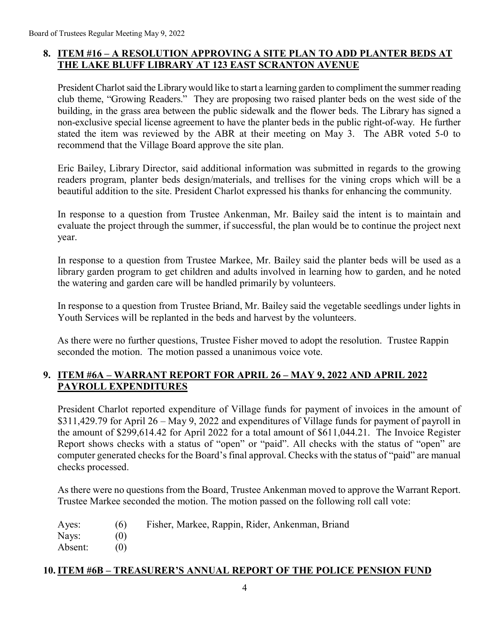# **8. ITEM #16 – A RESOLUTION APPROVING A SITE PLAN TO ADD PLANTER BEDS AT THE LAKE BLUFF LIBRARY AT 123 EAST SCRANTON AVENUE**

President Charlot said the Library would like to start a learning garden to compliment the summer reading club theme, "Growing Readers." They are proposing two raised planter beds on the west side of the building, in the grass area between the public sidewalk and the flower beds. The Library has signed a non-exclusive special license agreement to have the planter beds in the public right-of-way. He further stated the item was reviewed by the ABR at their meeting on May 3. The ABR voted 5-0 to recommend that the Village Board approve the site plan.

Eric Bailey, Library Director, said additional information was submitted in regards to the growing readers program, planter beds design/materials, and trellises for the vining crops which will be a beautiful addition to the site. President Charlot expressed his thanks for enhancing the community.

In response to a question from Trustee Ankenman, Mr. Bailey said the intent is to maintain and evaluate the project through the summer, if successful, the plan would be to continue the project next year.

In response to a question from Trustee Markee, Mr. Bailey said the planter beds will be used as a library garden program to get children and adults involved in learning how to garden, and he noted the watering and garden care will be handled primarily by volunteers.

In response to a question from Trustee Briand, Mr. Bailey said the vegetable seedlings under lights in Youth Services will be replanted in the beds and harvest by the volunteers.

As there were no further questions, Trustee Fisher moved to adopt the resolution. Trustee Rappin seconded the motion. The motion passed a unanimous voice vote.

## **9. ITEM #6A – WARRANT REPORT FOR APRIL 26 – MAY 9, 2022 AND APRIL 2022 PAYROLL EXPENDITURES**

President Charlot reported expenditure of Village funds for payment of invoices in the amount of \$311,429.79 for April 26 – May 9, 2022 and expenditures of Village funds for payment of payroll in the amount of \$299,614.42 for April 2022 for a total amount of \$611,044.21. The Invoice Register Report shows checks with a status of "open" or "paid". All checks with the status of "open" are computer generated checks for the Board's final approval. Checks with the status of "paid" are manual checks processed.

As there were no questions from the Board, Trustee Ankenman moved to approve the Warrant Report. Trustee Markee seconded the motion. The motion passed on the following roll call vote:

| Ayes:   | (6)  | Fisher, Markee, Rappin, Rider, Ankenman, Briand |
|---------|------|-------------------------------------------------|
| Nays:   | (()) |                                                 |
| Absent: | (0)  |                                                 |

## **10.ITEM #6B – TREASURER'S ANNUAL REPORT OF THE POLICE PENSION FUND**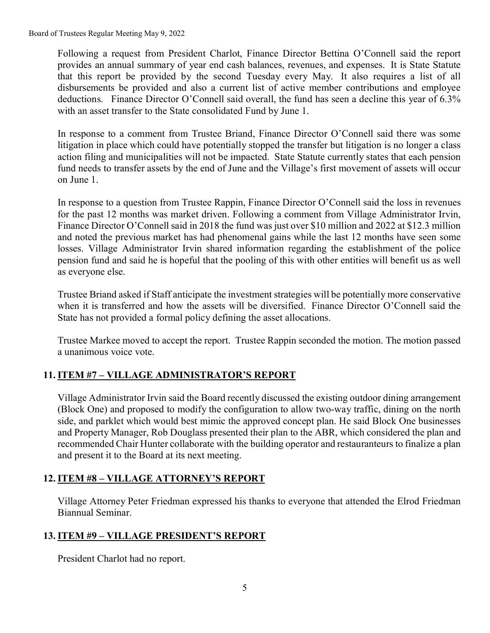Board of Trustees Regular Meeting May 9, 2022

Following a request from President Charlot, Finance Director Bettina O'Connell said the report provides an annual summary of year end cash balances, revenues, and expenses. It is State Statute that this report be provided by the second Tuesday every May. It also requires a list of all disbursements be provided and also a current list of active member contributions and employee deductions. Finance Director O'Connell said overall, the fund has seen a decline this year of 6.3% with an asset transfer to the State consolidated Fund by June 1.

In response to a comment from Trustee Briand, Finance Director O'Connell said there was some litigation in place which could have potentially stopped the transfer but litigation is no longer a class action filing and municipalities will not be impacted. State Statute currently states that each pension fund needs to transfer assets by the end of June and the Village's first movement of assets will occur on June 1.

In response to a question from Trustee Rappin, Finance Director O'Connell said the loss in revenues for the past 12 months was market driven. Following a comment from Village Administrator Irvin, Finance Director O'Connell said in 2018 the fund was just over \$10 million and 2022 at \$12.3 million and noted the previous market has had phenomenal gains while the last 12 months have seen some losses. Village Administrator Irvin shared information regarding the establishment of the police pension fund and said he is hopeful that the pooling of this with other entities will benefit us as well as everyone else.

Trustee Briand asked if Staff anticipate the investment strategies will be potentially more conservative when it is transferred and how the assets will be diversified. Finance Director O'Connell said the State has not provided a formal policy defining the asset allocations.

Trustee Markee moved to accept the report. Trustee Rappin seconded the motion. The motion passed a unanimous voice vote.

# **11.ITEM #7 – VILLAGE ADMINISTRATOR'S REPORT**

Village Administrator Irvin said the Board recently discussed the existing outdoor dining arrangement (Block One) and proposed to modify the configuration to allow two-way traffic, dining on the north side, and parklet which would best mimic the approved concept plan. He said Block One businesses and Property Manager, Rob Douglass presented their plan to the ABR, which considered the plan and recommended Chair Hunter collaborate with the building operator and restauranteurs to finalize a plan and present it to the Board at its next meeting.

## **12.ITEM #8 – VILLAGE ATTORNEY'S REPORT**

Village Attorney Peter Friedman expressed his thanks to everyone that attended the Elrod Friedman Biannual Seminar.

## **13.ITEM #9 – VILLAGE PRESIDENT'S REPORT**

President Charlot had no report.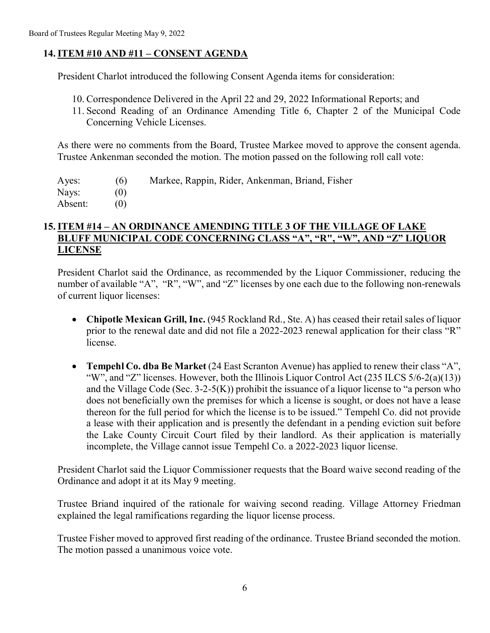## **14.ITEM #10 AND #11 – CONSENT AGENDA**

President Charlot introduced the following Consent Agenda items for consideration:

- 10. Correspondence Delivered in the April 22 and 29, 2022 Informational Reports; and
- 11. Second Reading of an Ordinance Amending Title 6, Chapter 2 of the Municipal Code Concerning Vehicle Licenses.

As there were no comments from the Board, Trustee Markee moved to approve the consent agenda. Trustee Ankenman seconded the motion. The motion passed on the following roll call vote:

| Ayes:   | (6) | Markee, Rappin, Rider, Ankenman, Briand, Fisher |
|---------|-----|-------------------------------------------------|
| Nays:   |     |                                                 |
| Absent: |     |                                                 |

### **15.ITEM #14 – AN ORDINANCE AMENDING TITLE 3 OF THE VILLAGE OF LAKE BLUFF MUNICIPAL CODE CONCERNING CLASS "A", "R", "W", AND "Z" LIQUOR LICENSE**

President Charlot said the Ordinance, as recommended by the Liquor Commissioner, reducing the number of available "A", "R", "W", and "Z" licenses by one each due to the following non-renewals of current liquor licenses:

- Chipotle Mexican Grill, Inc. (945 Rockland Rd., Ste. A) has ceased their retail sales of liquor prior to the renewal date and did not file a 2022-2023 renewal application for their class "R" license.
- **Tempehl Co. dba Be Market** (24 East Scranton Avenue) has applied to renew their class "A", "W", and "Z" licenses. However, both the Illinois Liquor Control Act (235 ILCS 5/6-2(a)(13)) and the Village Code (Sec. 3-2-5(K)) prohibit the issuance of a liquor license to "a person who does not beneficially own the premises for which a license is sought, or does not have a lease thereon for the full period for which the license is to be issued." Tempehl Co. did not provide a lease with their application and is presently the defendant in a pending eviction suit before the Lake County Circuit Court filed by their landlord. As their application is materially incomplete, the Village cannot issue Tempehl Co. a 2022-2023 liquor license.

President Charlot said the Liquor Commissioner requests that the Board waive second reading of the Ordinance and adopt it at its May 9 meeting.

Trustee Briand inquired of the rationale for waiving second reading. Village Attorney Friedman explained the legal ramifications regarding the liquor license process.

Trustee Fisher moved to approved first reading of the ordinance. Trustee Briand seconded the motion. The motion passed a unanimous voice vote.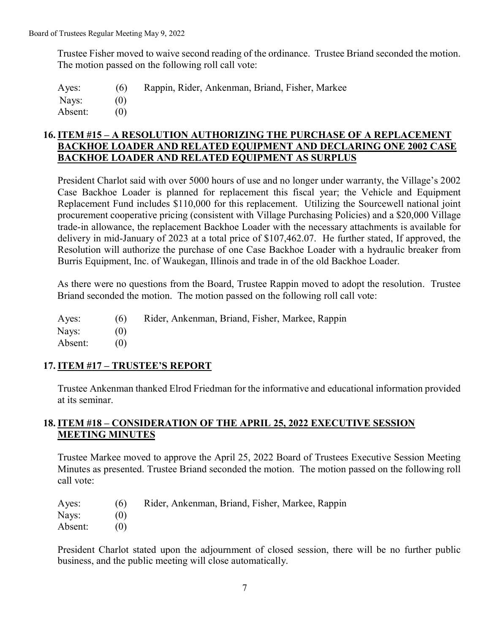Trustee Fisher moved to waive second reading of the ordinance. Trustee Briand seconded the motion. The motion passed on the following roll call vote:

Ayes: (6) Rappin, Rider, Ankenman, Briand, Fisher, Markee Nays: (0) Absent: (0)

### **16.ITEM #15 – A RESOLUTION AUTHORIZING THE PURCHASE OF A REPLACEMENT BACKHOE LOADER AND RELATED EQUIPMENT AND DECLARING ONE 2002 CASE BACKHOE LOADER AND RELATED EQUIPMENT AS SURPLUS**

President Charlot said with over 5000 hours of use and no longer under warranty, the Village's 2002 Case Backhoe Loader is planned for replacement this fiscal year; the Vehicle and Equipment Replacement Fund includes \$110,000 for this replacement. Utilizing the Sourcewell national joint procurement cooperative pricing (consistent with Village Purchasing Policies) and a \$20,000 Village trade-in allowance, the replacement Backhoe Loader with the necessary attachments is available for delivery in mid-January of 2023 at a total price of \$107,462.07. He further stated, If approved, the Resolution will authorize the purchase of one Case Backhoe Loader with a hydraulic breaker from Burris Equipment, Inc. of Waukegan, Illinois and trade in of the old Backhoe Loader.

As there were no questions from the Board, Trustee Rappin moved to adopt the resolution. Trustee Briand seconded the motion. The motion passed on the following roll call vote:

| Ayes:   | (6) | Rider, Ankenman, Briand, Fisher, Markee, Rappin |
|---------|-----|-------------------------------------------------|
| Nays:   |     |                                                 |
| Absent: |     |                                                 |

# **17.ITEM #17 – TRUSTEE'S REPORT**

Trustee Ankenman thanked Elrod Friedman for the informative and educational information provided at its seminar.

## **18.ITEM #18 – CONSIDERATION OF THE APRIL 25, 2022 EXECUTIVE SESSION MEETING MINUTES**

Trustee Markee moved to approve the April 25, 2022 Board of Trustees Executive Session Meeting Minutes as presented. Trustee Briand seconded the motion. The motion passed on the following roll call vote:

- Ayes: (6) Rider, Ankenman, Briand, Fisher, Markee, Rappin
- Nays: (0)
- Absent: (0)

President Charlot stated upon the adjournment of closed session, there will be no further public business, and the public meeting will close automatically.